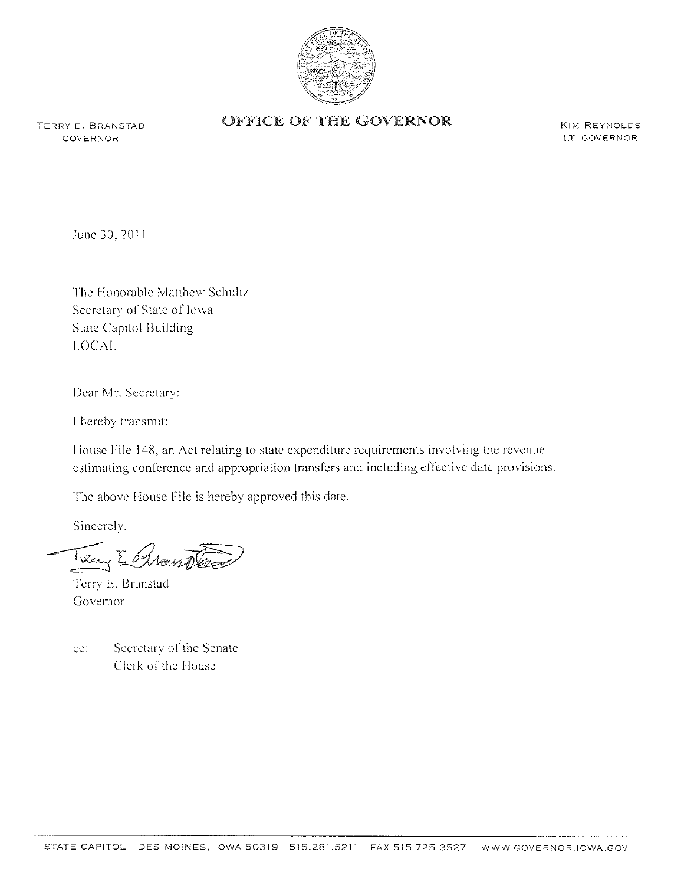

GOVERNOR

## TERRY E. BRANSTAD **OFFICE OF THE GOVERNOR**

KIM REYNoLDS LT. GOVERNOR

June 30, 2011

The Honorable Matthew Schultz Secretary of State of Iowa State Capitol Building I,OCAL

I)ear Mr. Secretary:

I hereby transmit:

House File 148, an Act relating to state expenditure requirements involving the revenue estimating conference and appropriation transfers and including effective date provisions.

The above House File is hereby approved this date.

Sincerely,

Treng E Rhandland

1'erry E. Branstad Governor

cc: Secretary of the Senate Clerk of the House